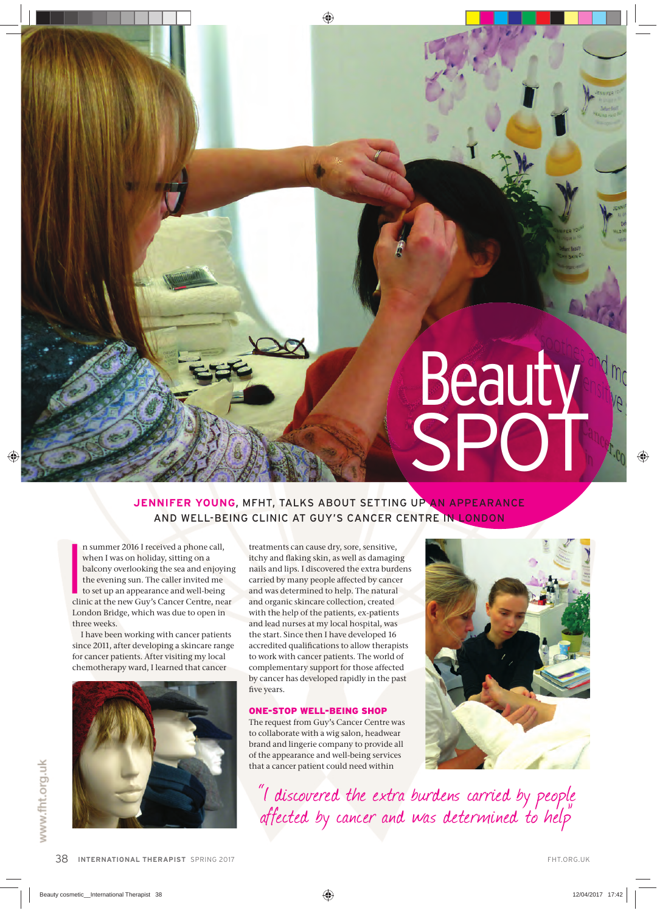# Beauty SPOT

## **JENNIFER YOUNG, MFHT, TALKS ABOUT SETTING UP AN APPEARANCE** AND WELL-BEING CLINIC AT GUY'S CANCER CENTRE IN LONDON

n summer 2016 I received a phone call,<br>when I was on holiday, sitting on a<br>balcony overlooking the sea and enjoying<br>the evening sun. The caller invited me<br>to set up an appearance and well-being<br>clinic at the new Guy's Canc n summer 2016 I received a phone call, when I was on holiday, sitting on a balcony overlooking the sea and enjoying the evening sun. The caller invited me to set up an appearance and well-being London Bridge, which was due to open in three weeks.

I have been working with cancer patients since 2011, after developing a skincare range for cancer patients. After visiting my local chemotherapy ward, I learned that cancer



treatments can cause dry, sore, sensitive, itchy and flaking skin, as well as damaging nails and lips. I discovered the extra burdens carried by many people affected by cancer and was determined to help. The natural and organic skincare collection, created with the help of the patients, ex-patients and lead nurses at my local hospital, was the start. Since then I have developed 16 accredited qualifications to allow therapists to work with cancer patients. The world of complementary support for those affected by cancer has developed rapidly in the past five years.

#### ONE-STOP WELL-BEING SHOP

The request from Guy's Cancer Centre was to collaborate with a wig salon, headwear brand and lingerie company to provide all of the appearance and well-being services that a cancer patient could need within



"I discovered the extra burdens carried by people affected by cancer and was determined to help